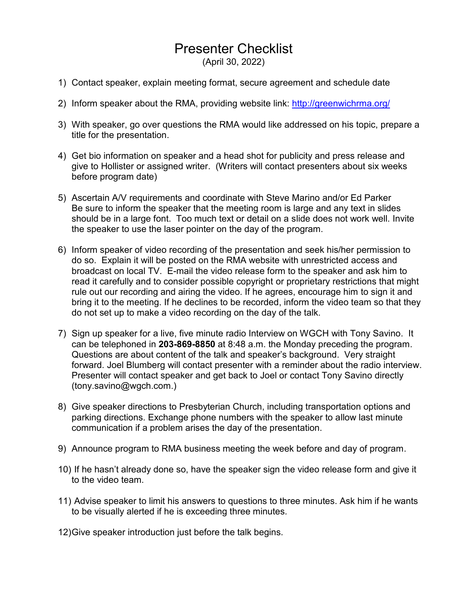## Presenter Checklist

(April 30, 2022)

- 1) Contact speaker, explain meeting format, secure agreement and schedule date
- 2) Inform speaker about the RMA, providing website link:<http://greenwichrma.org/>
- 3) With speaker, go over questions the RMA would like addressed on his topic, prepare a title for the presentation.
- 4) Get bio information on speaker and a head shot for publicity and press release and give to Hollister or assigned writer. (Writers will contact presenters about six weeks before program date)
- 5) Ascertain A/V requirements and coordinate with Steve Marino and/or Ed Parker Be sure to inform the speaker that the meeting room is large and any text in slides should be in a large font. Too much text or detail on a slide does not work well. Invite the speaker to use the laser pointer on the day of the program.
- 6) Inform speaker of video recording of the presentation and seek his/her permission to do so. Explain it will be posted on the RMA website with unrestricted access and broadcast on local TV. E-mail the video release form to the speaker and ask him to read it carefully and to consider possible copyright or proprietary restrictions that might rule out our recording and airing the video. If he agrees, encourage him to sign it and bring it to the meeting. If he declines to be recorded, inform the video team so that they do not set up to make a video recording on the day of the talk.
- 7) Sign up speaker for a live, five minute radio Interview on WGCH with Tony Savino. It can be telephoned in **203-869-8850** at 8:48 a.m. the Monday preceding the program. Questions are about content of the talk and speaker's background. Very straight forward. Joel Blumberg will contact presenter with a reminder about the radio interview. Presenter will contact speaker and get back to Joel or contact Tony Savino directly (tony.savino@wgch.com.)
- 8) Give speaker directions to Presbyterian Church, including transportation options and parking directions. Exchange phone numbers with the speaker to allow last minute communication if a problem arises the day of the presentation.
- 9) Announce program to RMA business meeting the week before and day of program.
- 10) If he hasn't already done so, have the speaker sign the video release form and give it to the video team.
- 11) Advise speaker to limit his answers to questions to three minutes. Ask him if he wants to be visually alerted if he is exceeding three minutes.
- 12)Give speaker introduction just before the talk begins.